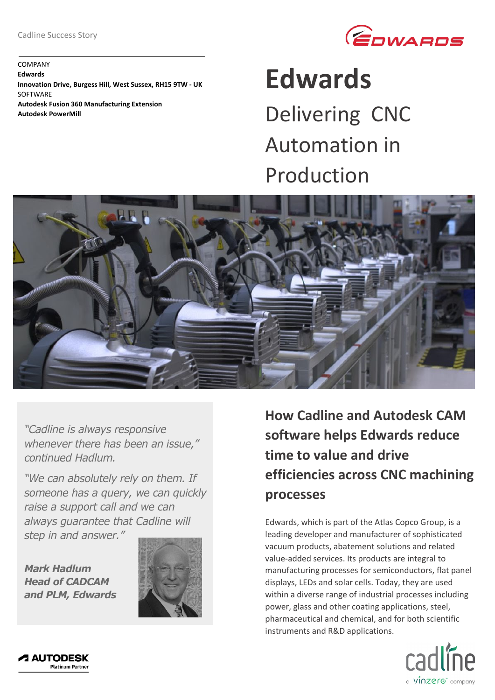

COMPANY **Edwards Innovation Drive, Burgess Hill, West Sussex, RH15 9TW - UK SOFTWARE Autodesk Fusion 360 Manufacturing Extension Autodesk PowerMill**

## **Edwards**

Delivering CNC Automation in Production



*"Cadline is always responsive whenever there has been an issue," continued Hadlum.* 

*"We can absolutely rely on them. If someone has a query, we can quickly raise a support call and we can always guarantee that Cadline will step in and answer."*

*Mark Hadlum Head of CADCAM and PLM, Edwards*



**How Cadline and Autodesk CAM software helps Edwards reduce time to value and drive efficiencies across CNC machining processes**

Edwards, which is part of the Atlas Copco Group, is a leading developer and manufacturer of sophisticated vacuum products, abatement solutions and related value-added services. Its products are integral to manufacturing processes for semiconductors, flat panel displays, LEDs and solar cells. Today, they are used within a diverse range of industrial processes including power, glass and other coating applications, steel, pharmaceutical and chemical, and for both scientific instruments and R&D applications.



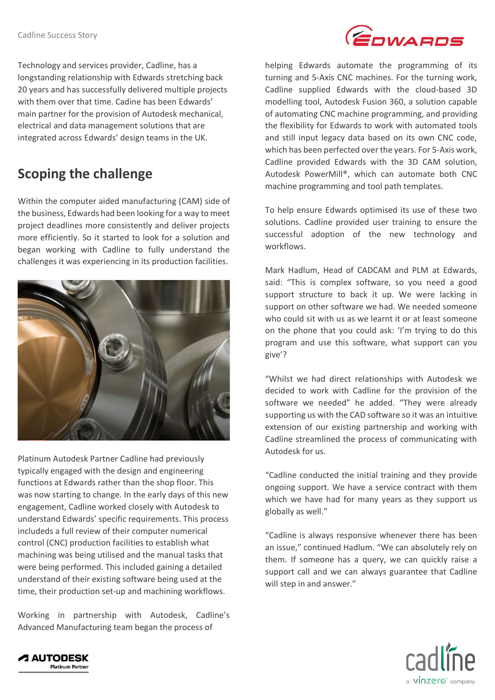GOWARDS

Technology and services provider, Cadline, has a longstanding relationship with Edwards stretching back 20 years and has successfully delivered multiple projects with them over that time. Cadine has been Edwards' main partner for the provision of Autodesk mechanical, electrical and data management solutions that are integrated across Edwards' design teams in the UK.

## **Scoping the challenge**

Within the computer aided manufacturing (CAM) side of the business, Edwards had been looking for a way to meet project deadlines more consistently and deliver projects more efficiently. So it started to look for a solution and began working with Cadline to fully understand the challenges it was experiencing in its production facilities.



Platinum Autodesk Partner Cadline had previously typically engaged with the design and engineering functions at Edwards rather than the shop floor. This was now starting to change. In the early days of this new engagement, Cadline worked closely with Autodesk to understand Edwards' specific requirements. This process includeds a full review of their computer numerical control (CNC) production facilities to establish what machining was being utilised and the manual tasks that were being performed. This included gaining a detailed understand of their existing software being used at the time, their production set-up and machining workflows.

Working in partnership with Autodesk, Cadline's Advanced Manufacturing team began the process of

helping Edwards automate the programming of its turning and 5-Axis CNC machines. For the turning work, Cadline supplied Edwards with the cloud-based 3D modelling tool, Autodesk Fusion 360, a solution capable of automating CNC machine programming, and providing the flexibility for Edwards to work with automated tools and still input legacy data based on its own CNC code, which has been perfected over the years. For 5-Axis work, Cadline provided Edwards with the 3D CAM solution, Autodesk PowerMill®, which can automate both CNC machine programming and tool path templates.

To help ensure Edwards optimised its use of these two solutions. Cadline provided user training to ensure the successful adoption of the new technology and workflows.

Mark Hadlum, Head of CADCAM and PLM at Edwards, said: "This is complex software, so you need a good support structure to back it up. We were lacking in support on other software we had. We needed someone who could sit with us as we learnt it or at least someone on the phone that you could ask: 'I'm trying to do this program and use this software, what support can you give'?

"Whilst we had direct relationships with Autodesk we decided to work with Cadline for the provision of the software we needed" he added. "They were already supporting us with the CAD software so it was an intuitive extension of our existing partnership and working with Cadline streamlined the process of communicating with Autodesk for us.

"Cadline conducted the initial training and they provide ongoing support. We have a service contract with them which we have had for many years as they support us globally as well."

"Cadline is always responsive whenever there has been an issue," continued Hadlum. "We can absolutely rely on them. If someone has a query, we can quickly raise a support call and we can always guarantee that Cadline will step in and answer."